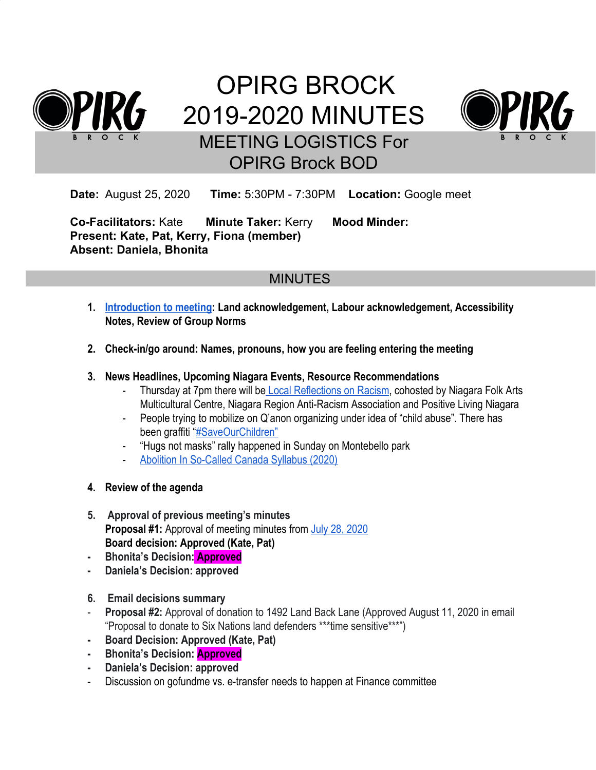

# OPIRG BROCK 2019-2020 MINUTES MEETING LOGISTICS For OPIRG Brock BOD



**Date:** August 25, 2020 **Time:** 5:30PM - 7:30PM **Location:** Google meet

**Co-Facilitators:** Kate **Minute Taker:** Kerry **Mood Minder: Present: Kate, Pat, Kerry, Fiona (member) Absent: Daniela, Bhonita**

# MINUTES

- **1. [Introduction to meeting:](https://docs.google.com/document/u/1/d/1oq5QTQxiHg-sc3RS-rfF2ow0I8FZIC1TM6Ch9_1rR5E/edit) Land acknowledgement, Labour acknowledgement, Accessibility Notes, Review of Group Norms**
- **2. Check-in/go around: Names, pronouns, how you are feeling entering the meeting**

## **3. News Headlines, Upcoming Niagara Events, Resource Recommendations**

- Thursday at 7pm there will b[e Local Reflections on Racism,](https://www.facebook.com/events/960209671094135/) cohosted by Niagara Folk Arts Multicultural Centre, Niagara Region Anti-Racism Association and Positive Living Niagara
- People trying to mobilize on Q'anon organizing under idea of "child abuse". There has been graffiti "[#SaveOurChildren"](https://www.facebook.com/events/336030524200311?active_tab=about)
- "Hugs not masks" rally happened in Sunday on Montebello park
- [Abolition In So-Called Canada Syllabus \(2020\)](https://static1.squarespace.com/static/5e87d4e1eaa9be375415ac85/t/5f28235f7b9431047e44d0fd/1596466020029/ABSC2020b.pdf)
- **4. Review of the agenda**
- **5. Approval of previous meeting's minutes Proposal #1:** Approval of meeting minutes from [July 28, 2020](https://docs.google.com/document/d/1RXQjFdRbKuF2WtSaH1p6G8kkC8rApkDvsc_-HlNxkcs/edit) **Board decision: Approved (Kate, Pat)**
- **- Bhonita's Decision: Approved**
- **- Daniela's Decision: approved**
- **6. Email decisions summary**
- **Proposal #2:** Approval of donation to 1492 Land Back Lane (Approved August 11, 2020 in email "Proposal to donate to Six Nations land defenders \*\*\*time sensitive\*\*\*")
- **- Board Decision: Approved (Kate, Pat)**
- **- Bhonita's Decision: Approved**
- **- Daniela's Decision: approved**
- Discussion on gofundme vs. e-transfer needs to happen at Finance committee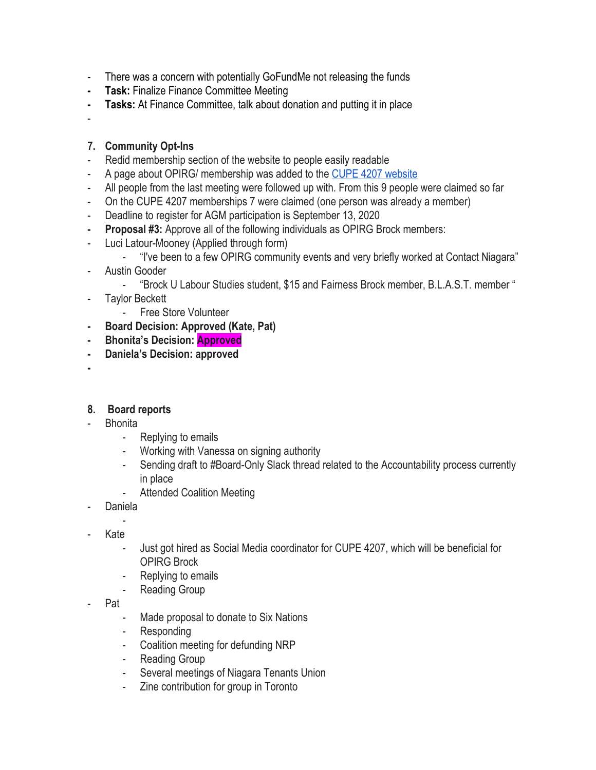- There was a concern with potentially GoFundMe not releasing the funds
- **- Task:** Finalize Finance Committee Meeting
- **- Tasks:** At Finance Committee, talk about donation and putting it in place
- -

## **7. Community Opt-Ins**

- Redid membership section of the website to people easily readable
- A page about OPIRG/ membership was added to the [CUPE 4207 website](https://4207.cupe.ca/opirg/)
- All people from the last meeting were followed up with. From this 9 people were claimed so far
- On the CUPE 4207 memberships 7 were claimed (one person was already a member)
- Deadline to register for AGM participation is September 13, 2020
- **- Proposal #3:** Approve all of the following individuals as OPIRG Brock members:
- Luci Latour-Mooney (Applied through form)
	- "I've been to a few OPIRG community events and very briefly worked at Contact Niagara"
- Austin Gooder
	- "Brock U Labour Studies student, \$15 and Fairness Brock member, B.L.A.S.T. member "
- Taylor Beckett
	- Free Store Volunteer
- **- Board Decision: Approved (Kate, Pat)**
- **- Bhonita's Decision: Approved**
- **- Daniela's Decision: approved**
- **-**

#### **8. Board reports**

- Bhonita
	- Replying to emails
	- Working with Vanessa on signing authority
	- Sending draft to #Board-Only Slack thread related to the Accountability process currently in place
	- Attended Coalition Meeting
- **Daniela**
- - Kate
	- Just got hired as Social Media coordinator for CUPE 4207, which will be beneficial for OPIRG Brock
	- Replying to emails
	- Reading Group
- Pat
	- Made proposal to donate to Six Nations
	- **Responding**
	- Coalition meeting for defunding NRP
	- Reading Group
	- Several meetings of Niagara Tenants Union
	- Zine contribution for group in Toronto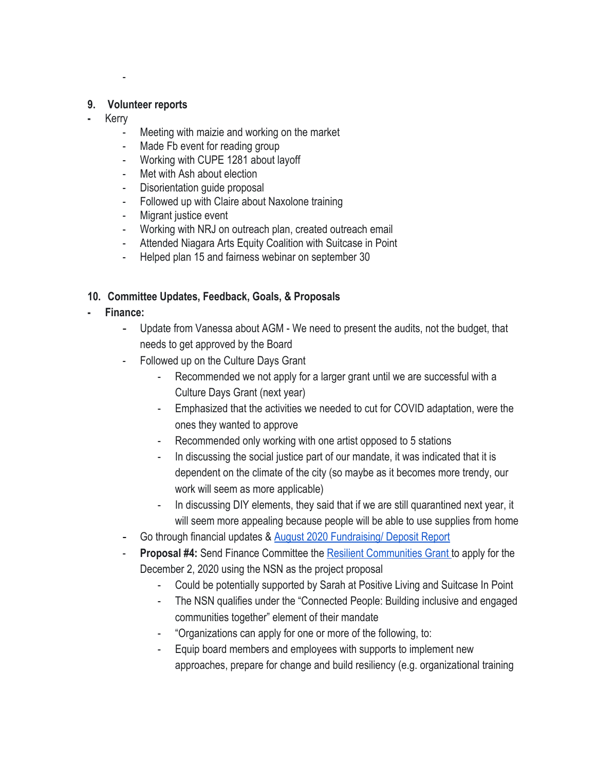#### **9. Volunteer reports**

-

- **-** Kerry
	- Meeting with maizie and working on the market
	- Made Fb event for reading group
	- Working with CUPE 1281 about layoff
	- Met with Ash about election
	- Disorientation guide proposal
	- Followed up with Claire about Naxolone training
	- Migrant justice event
	- Working with NRJ on outreach plan, created outreach email
	- Attended Niagara Arts Equity Coalition with Suitcase in Point
	- Helped plan 15 and fairness webinar on september 30

# **10. Committee Updates, Feedback, Goals, & Proposals**

- **- Finance:**
	- Update from Vanessa about AGM We need to present the audits, not the budget, that needs to get approved by the Board
	- Followed up on the Culture Days Grant
		- Recommended we not apply for a larger grant until we are successful with a Culture Days Grant (next year)
		- Emphasized that the activities we needed to cut for COVID adaptation, were the ones they wanted to approve
		- Recommended only working with one artist opposed to 5 stations
		- In discussing the social justice part of our mandate, it was indicated that it is dependent on the climate of the city (so maybe as it becomes more trendy, our work will seem as more applicable)
		- In discussing DIY elements, they said that if we are still quarantined next year, it will seem more appealing because people will be able to use supplies from home
	- Go through financial updates & [August 2020 Fundraising/ Deposit Report](https://docs.google.com/document/d/1Tym4b7aH7565xE-mXvZGPQ6dycFsbZFvjmJWefYrlpc/edit)
	- **Proposal #4:** Send Finance Committee the [Resilient Communities Grant t](https://otf.ca/resilient-communities-fund)o apply for the December 2, 2020 using the NSN as the project proposal
		- Could be potentially supported by Sarah at Positive Living and Suitcase In Point
		- The NSN qualifies under the "Connected People: Building inclusive and engaged communities together" element of their mandate
		- "Organizations can apply for one or more of the following, to:
		- Equip board members and employees with supports to implement new approaches, prepare for change and build resiliency (e.g. organizational training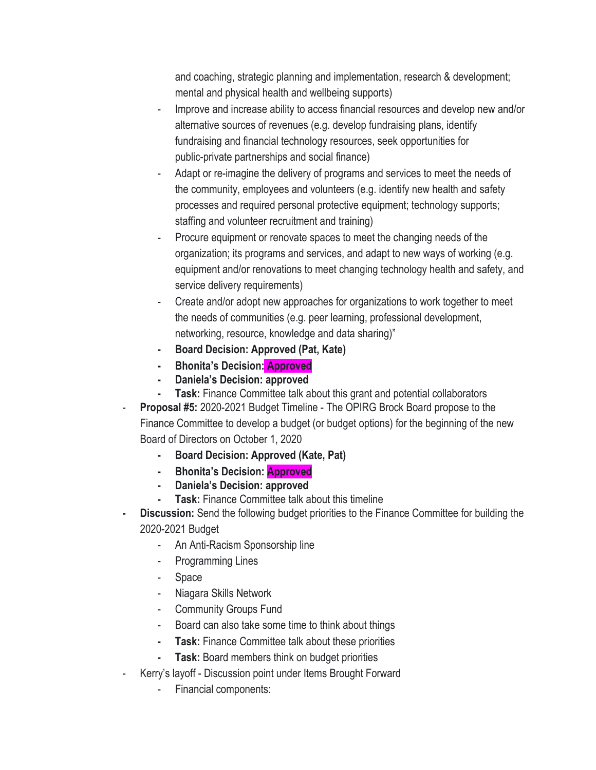and coaching, strategic planning and implementation, research & development; mental and physical health and wellbeing supports)

- Improve and increase ability to access financial resources and develop new and/or alternative sources of revenues (e.g. develop fundraising plans, identify fundraising and financial technology resources, seek opportunities for public-private partnerships and social finance)
- Adapt or re-imagine the delivery of programs and services to meet the needs of the community, employees and volunteers (e.g. identify new health and safety processes and required personal protective equipment; technology supports; staffing and volunteer recruitment and training)
- Procure equipment or renovate spaces to meet the changing needs of the organization; its programs and services, and adapt to new ways of working (e.g. equipment and/or renovations to meet changing technology health and safety, and service delivery requirements)
- Create and/or adopt new approaches for organizations to work together to meet the needs of communities (e.g. peer learning, professional development, networking, resource, knowledge and data sharing)"
- **- Board Decision: Approved (Pat, Kate)**
- **- Bhonita's Decision: Approved**
- **- Daniela's Decision: approved**
- **- Task:** Finance Committee talk about this grant and potential collaborators
- **Proposal #5: 2020-2021 Budget Timeline The OPIRG Brock Board propose to the** Finance Committee to develop a budget (or budget options) for the beginning of the new Board of Directors on October 1, 2020
	- **- Board Decision: Approved (Kate, Pat)**
	- **- Bhonita's Decision: Approved**
	- **- Daniela's Decision: approved**
	- **- Task:** Finance Committee talk about this timeline
- **- Discussion:** Send the following budget priorities to the Finance Committee for building the 2020-2021 Budget
	- An Anti-Racism Sponsorship line
	- Programming Lines
	- Space
	- Niagara Skills Network
	- Community Groups Fund
	- Board can also take some time to think about things
	- **- Task:** Finance Committee talk about these priorities
	- **Task:** Board members think on budget priorities
- Kerry's layoff Discussion point under Items Brought Forward
	- Financial components: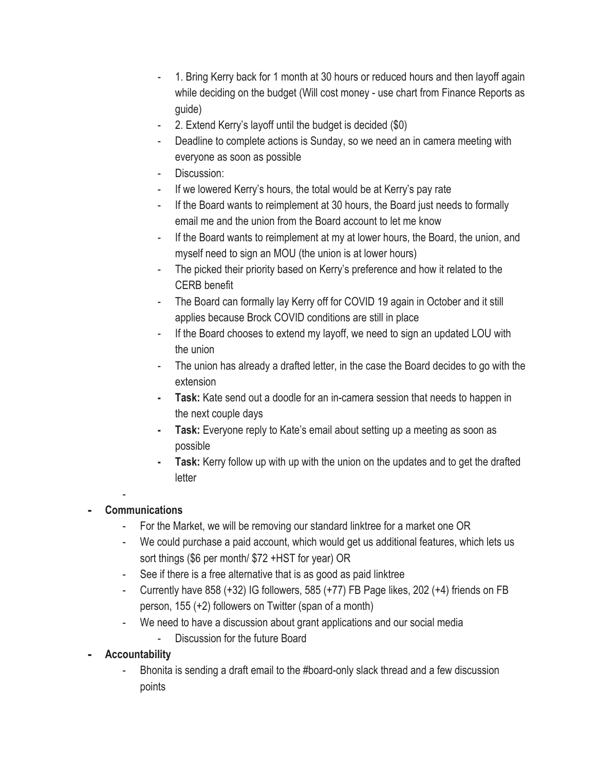- 1. Bring Kerry back for 1 month at 30 hours or reduced hours and then layoff again while deciding on the budget (Will cost money - use chart from Finance Reports as guide)
- 2. Extend Kerry's layoff until the budget is decided (\$0)
- Deadline to complete actions is Sunday, so we need an in camera meeting with everyone as soon as possible
- Discussion:
- If we lowered Kerry's hours, the total would be at Kerry's pay rate
- If the Board wants to reimplement at 30 hours, the Board just needs to formally email me and the union from the Board account to let me know
- If the Board wants to reimplement at my at lower hours, the Board, the union, and myself need to sign an MOU (the union is at lower hours)
- The picked their priority based on Kerry's preference and how it related to the CERB benefit
- The Board can formally lay Kerry off for COVID 19 again in October and it still applies because Brock COVID conditions are still in place
- If the Board chooses to extend my layoff, we need to sign an updated LOU with the union
- The union has already a drafted letter, in the case the Board decides to go with the extension
- **- Task:** Kate send out a doodle for an in-camera session that needs to happen in the next couple days
- **- Task:** Everyone reply to Kate's email about setting up a meeting as soon as possible
- **- Task:** Kerry follow up with up with the union on the updates and to get the drafted letter
- **- Communications**
	- For the Market, we will be removing our standard linktree for a market one OR
	- We could purchase a paid account, which would get us additional features, which lets us sort things (\$6 per month/ \$72 +HST for year) OR
	- See if there is a free alternative that is as good as paid linktree
	- Currently have 858 (+32) IG followers, 585 (+77) FB Page likes, 202 (+4) friends on FB person, 155 (+2) followers on Twitter (span of a month)
	- We need to have a discussion about grant applications and our social media
		- Discussion for the future Board
- **- Accountability**
	- Bhonita is sending a draft email to the #board-only slack thread and a few discussion points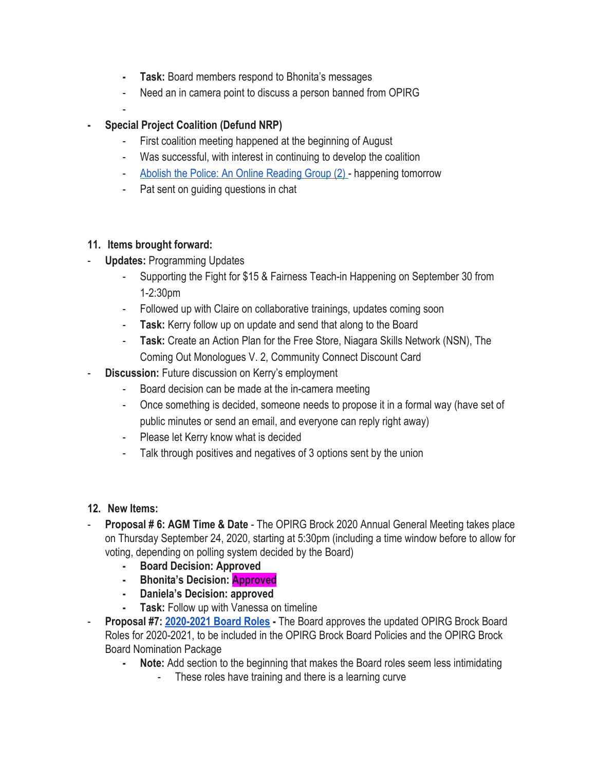- **- Task:** Board members respond to Bhonita's messages
- Need an in camera point to discuss a person banned from OPIRG
- 

-

## **- Special Project Coalition (Defund NRP)**

- First coalition meeting happened at the beginning of August
- Was successful, with interest in continuing to develop the coalition
- [Abolish the Police: An Online Reading Group \(2\) -](https://www.facebook.com/events/291747108594525/) happening tomorrow
- Pat sent on guiding questions in chat

## **11. Items brought forward:**

- **Updates: Programming Updates** 
	- Supporting the Fight for \$15 & Fairness Teach-in Happening on September 30 from 1-2:30pm
	- Followed up with Claire on collaborative trainings, updates coming soon
	- **Task:** Kerry follow up on update and send that along to the Board
	- **Task:** Create an Action Plan for the Free Store, Niagara Skills Network (NSN), The Coming Out Monologues V. 2, Community Connect Discount Card
- **Discussion:** Future discussion on Kerry's employment
	- Board decision can be made at the in-camera meeting
	- Once something is decided, someone needs to propose it in a formal way (have set of public minutes or send an email, and everyone can reply right away)
	- Please let Kerry know what is decided
	- Talk through positives and negatives of 3 options sent by the union

## **12. New Items:**

- **Proposal # 6: AGM Time & Date** The OPIRG Brock 2020 Annual General Meeting takes place on Thursday September 24, 2020, starting at 5:30pm (including a time window before to allow for voting, depending on polling system decided by the Board)
	- **- Board Decision: Approved**
	- **- Bhonita's Decision: Approved**
	- **- Daniela's Decision: approved**
	- **- Task:** Follow up with Vanessa on timeline
- **Proposal #7: [2020-2021 Board Roles](https://docs.google.com/document/d/17JRoiHXZArBY91EfybnxOs3tdcc94_7fxw4vR8sTV2Q/edit)** The Board approves the updated OPIRG Brock Board Roles for 2020-2021, to be included in the OPIRG Brock Board Policies and the OPIRG Brock Board Nomination Package
	- **- Note:** Add section to the beginning that makes the Board roles seem less intimidating
		- These roles have training and there is a learning curve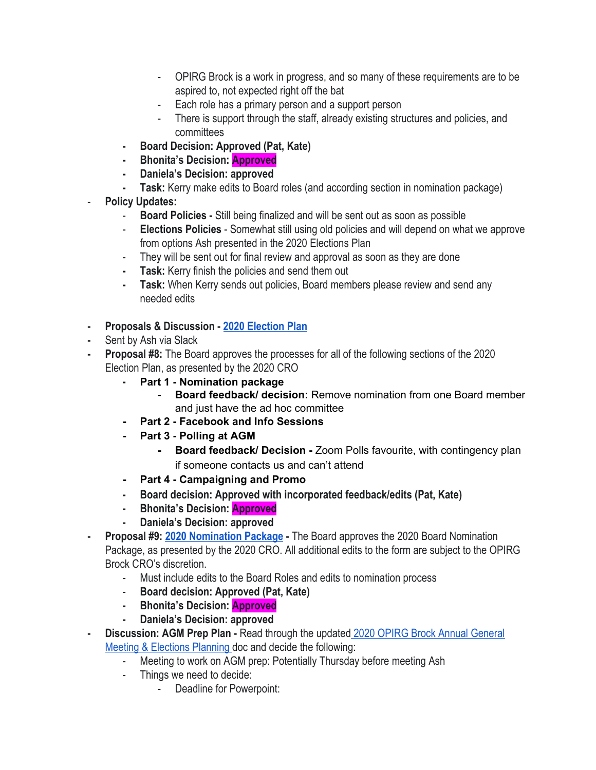- OPIRG Brock is a work in progress, and so many of these requirements are to be aspired to, not expected right off the bat
- Each role has a primary person and a support person
- There is support through the staff, already existing structures and policies, and committees
- **- Board Decision: Approved (Pat, Kate)**
- **- Bhonita's Decision: Approved**
- **- Daniela's Decision: approved**
- **- Task:** Kerry make edits to Board roles (and according section in nomination package)
- **Policy Updates:**
	- **Board Policies** Still being finalized and will be sent out as soon as possible
	- **Elections Policies** Somewhat still using old policies and will depend on what we approve from options Ash presented in the 2020 Elections Plan
	- They will be sent out for final review and approval as soon as they are done
	- **- Task:** Kerry finish the policies and send them out
	- **- Task:** When Kerry sends out policies, Board members please review and send any needed edits
- **- Proposals & Discussion [2020 Election Plan](https://docs.google.com/document/d/1u320o_dN_pqcrmrpdtDU53uA1F-ek4s9ceM3JA68Tuo/edit)**
- **-** Sent by Ash via Slack
- **- Proposal #8:** The Board approves the processes for all of the following sections of the 2020 Election Plan, as presented by the 2020 CRO
	- **- Part 1 - Nomination package**
		- **Board feedback/ decision:** Remove nomination from one Board member and just have the ad hoc committee
	- **- Part 2 - Facebook and Info Sessions**
	- **- Part 3 - Polling at AGM**
		- **- Board feedback/ Decision -** Zoom Polls favourite, with contingency plan if someone contacts us and can't attend
	- **- Part 4 - Campaigning and Promo**
	- **- Board decision: Approved with incorporated feedback/edits (Pat, Kate)**
	- **- Bhonita's Decision: Approved**
	- **- Daniela's Decision: approved**
- **- Proposal #9: [2020 Nomination Package](https://docs.google.com/document/d/1Y42KTxBAZ0u2goZzvOBl99oMmmVOvAPIzoTE7T4foe4/edit?ts=5f3febcd)** The Board approves the 2020 Board Nomination Package, as presented by the 2020 CRO. All additional edits to the form are subject to the OPIRG Brock CRO's discretion.
	- Must include edits to the Board Roles and edits to nomination process
	- **Board decision: Approved (Pat, Kate)**
	- **- Bhonita's Decision: Approved**
	- **- Daniela's Decision: approved**
- **- Discussion: AGM Prep Plan** Read through the updated [2020 OPIRG Brock Annual General](https://docs.google.com/document/d/16bkj_0_ZGFelP3sf2Fi-xZmc7MGCgzLHqmmZqCZgCgA/edit#heading=h.vmm4835s4rz0) [Meeting & Elections Planning](https://docs.google.com/document/d/16bkj_0_ZGFelP3sf2Fi-xZmc7MGCgzLHqmmZqCZgCgA/edit#heading=h.vmm4835s4rz0) doc and decide the following:
	- Meeting to work on AGM prep: Potentially Thursday before meeting Ash
	- Things we need to decide:
		- Deadline for Powerpoint: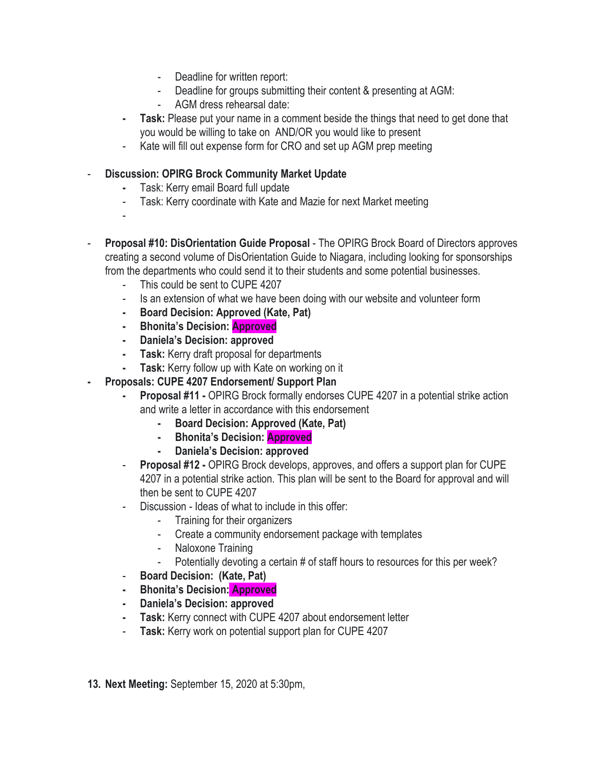- Deadline for written report:
- Deadline for groups submitting their content & presenting at AGM:
- AGM dress rehearsal date:
- **- Task:** Please put your name in a comment beside the things that need to get done that you would be willing to take on AND/OR you would like to present
- Kate will fill out expense form for CRO and set up AGM prep meeting

## - **Discussion: OPIRG Brock Community Market Update**

- **-** Task: Kerry email Board full update
- Task: Kerry coordinate with Kate and Mazie for next Market meeting
- -
- **Proposal #10: DisOrientation Guide Proposal**  The OPIRG Brock Board of Directors approves creating a second volume of DisOrientation Guide to Niagara, including looking for sponsorships from the departments who could send it to their students and some potential businesses.
	- This could be sent to CUPE 4207
	- Is an extension of what we have been doing with our website and volunteer form
	- **- Board Decision: Approved (Kate, Pat)**
	- **- Bhonita's Decision: Approved**
	- **- Daniela's Decision: approved**
	- **- Task:** Kerry draft proposal for departments
	- **- Task:** Kerry follow up with Kate on working on it
- **- Proposals: CUPE 4207 Endorsement/ Support Plan**
	- **- Proposal #11 -** OPIRG Brock formally endorses CUPE 4207 in a potential strike action and write a letter in accordance with this endorsement
		- **- Board Decision: Approved (Kate, Pat)**
		- **- Bhonita's Decision: Approved**
		- **- Daniela's Decision: approved**
	- **Proposal #12 -** OPIRG Brock develops, approves, and offers a support plan for CUPE 4207 in a potential strike action. This plan will be sent to the Board for approval and will then be sent to CUPE 4207
	- Discussion Ideas of what to include in this offer:
		- Training for their organizers
		- Create a community endorsement package with templates
		- Naloxone Training
		- Potentially devoting a certain # of staff hours to resources for this per week?
	- **Board Decision: (Kate, Pat)**
	- **- Bhonita's Decision: Approved**
	- **- Daniela's Decision: approved**
	- **- Task:** Kerry connect with CUPE 4207 about endorsement letter
	- **Task:** Kerry work on potential support plan for CUPE 4207
- **13. Next Meeting:** September 15, 2020 at 5:30pm,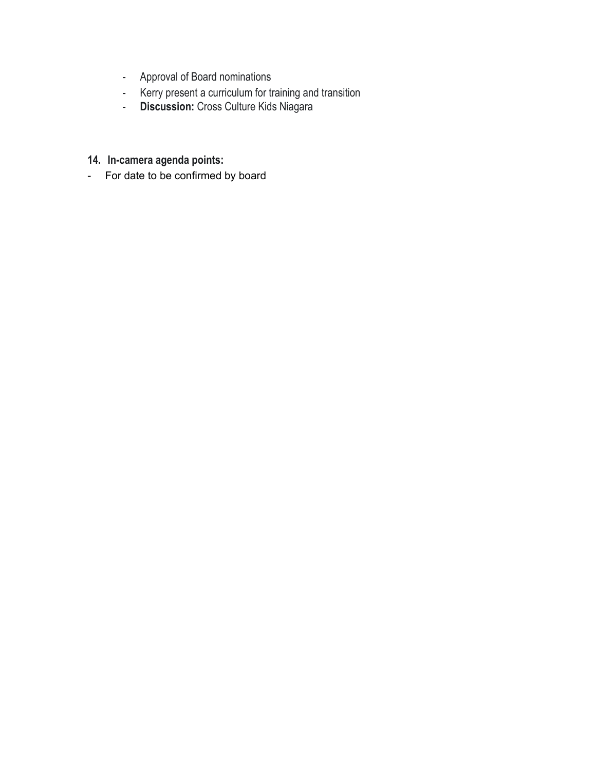- Approval of Board nominations
- Kerry present a curriculum for training and transition
- **Discussion:** Cross Culture Kids Niagara
- **14. In-camera agenda points:**
- For date to be confirmed by board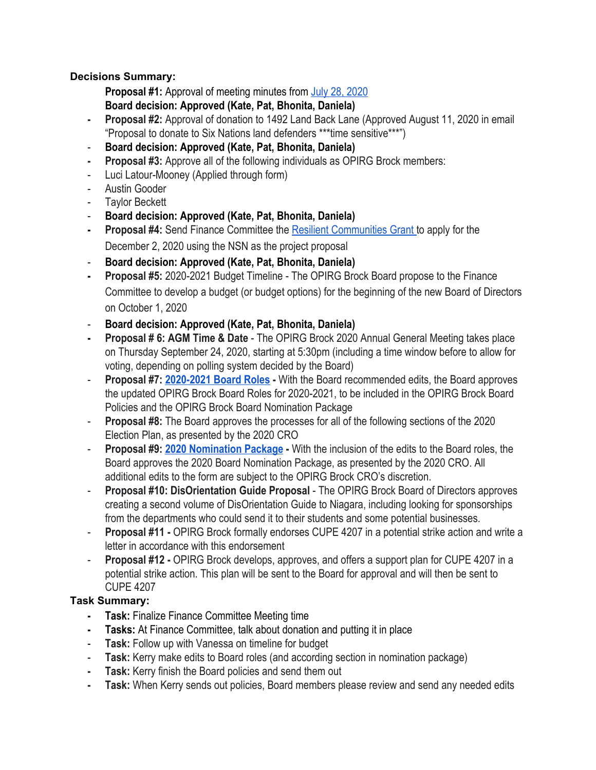## **Decisions Summary:**

**Proposal #1:** Approval of meeting minutes from [July 28, 2020](https://docs.google.com/document/d/1RXQjFdRbKuF2WtSaH1p6G8kkC8rApkDvsc_-HlNxkcs/edit) **Board decision: Approved (Kate, Pat, Bhonita, Daniela)**

- **- Proposal #2:** Approval of donation to 1492 Land Back Lane (Approved August 11, 2020 in email "Proposal to donate to Six Nations land defenders \*\*\*time sensitive\*\*\*")
- **Board decision: Approved (Kate, Pat, Bhonita, Daniela)**
- **- Proposal #3:** Approve all of the following individuals as OPIRG Brock members:
- Luci Latour-Mooney (Applied through form)
- Austin Gooder
- Taylor Beckett
- **Board decision: Approved (Kate, Pat, Bhonita, Daniela)**
- **- Proposal #4:** Send Finance Committee the [Resilient Communities Grant t](https://otf.ca/resilient-communities-fund)o apply for the December 2, 2020 using the NSN as the project proposal
- **Board decision: Approved (Kate, Pat, Bhonita, Daniela)**
- **- Proposal #5:** 2020-2021 Budget Timeline The OPIRG Brock Board propose to the Finance Committee to develop a budget (or budget options) for the beginning of the new Board of Directors on October 1, 2020
- **Board decision: Approved (Kate, Pat, Bhonita, Daniela)**
- **- Proposal # 6: AGM Time & Date** The OPIRG Brock 2020 Annual General Meeting takes place on Thursday September 24, 2020, starting at 5:30pm (including a time window before to allow for voting, depending on polling system decided by the Board)
- **Proposal #7: [2020-2021 Board Roles](https://docs.google.com/document/d/17JRoiHXZArBY91EfybnxOs3tdcc94_7fxw4vR8sTV2Q/edit)** With the Board recommended edits, the Board approves the updated OPIRG Brock Board Roles for 2020-2021, to be included in the OPIRG Brock Board Policies and the OPIRG Brock Board Nomination Package
- **Proposal #8:** The Board approves the processes for all of the following sections of the 2020 Election Plan, as presented by the 2020 CRO
- **Proposal #9: [2020 Nomination Package](https://docs.google.com/document/d/1Y42KTxBAZ0u2goZzvOBl99oMmmVOvAPIzoTE7T4foe4/edit?ts=5f3febcd)** With the inclusion of the edits to the Board roles, the Board approves the 2020 Board Nomination Package, as presented by the 2020 CRO. All additional edits to the form are subject to the OPIRG Brock CRO's discretion.
- **Proposal #10: DisOrientation Guide Proposal**  The OPIRG Brock Board of Directors approves creating a second volume of DisOrientation Guide to Niagara, including looking for sponsorships from the departments who could send it to their students and some potential businesses.
- **Proposal #11 -** OPIRG Brock formally endorses CUPE 4207 in a potential strike action and write a letter in accordance with this endorsement
- **Proposal #12 -** OPIRG Brock develops, approves, and offers a support plan for CUPE 4207 in a potential strike action. This plan will be sent to the Board for approval and will then be sent to CUPE 4207

## **Task Summary:**

- **- Task:** Finalize Finance Committee Meeting time
- **- Tasks:** At Finance Committee, talk about donation and putting it in place
- **Task:** Follow up with Vanessa on timeline for budget
- **Task:** Kerry make edits to Board roles (and according section in nomination package)
- **- Task:** Kerry finish the Board policies and send them out
- **- Task:** When Kerry sends out policies, Board members please review and send any needed edits